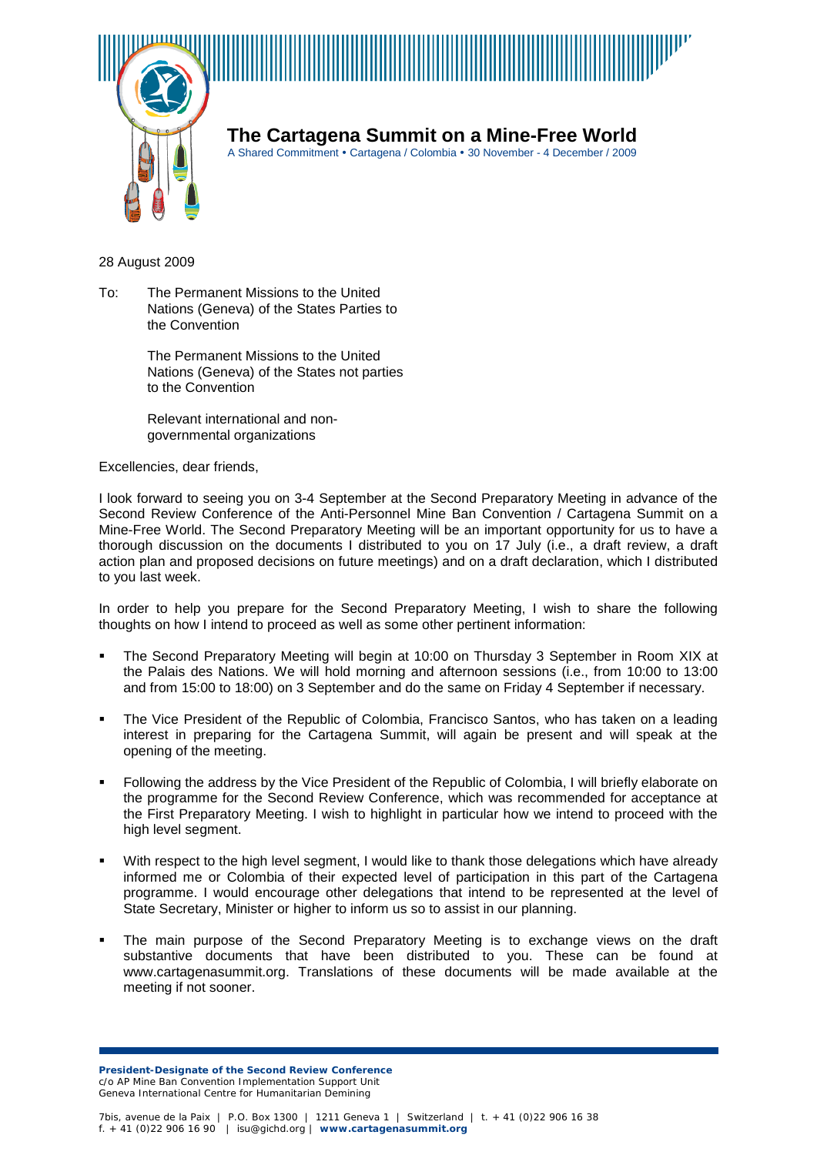

**The Cartagena Summit on a Mine-Free World**

A Shared Commitment • Cartagena / Colombia • 30 November - 4 December / 2009

28 August 2009

To: The Permanent Missions to the United Nations (Geneva) of the States Parties to the Convention

> The Permanent Missions to the United Nations (Geneva) of the States not parties to the Convention

Relevant international and nongovernmental organizations

Excellencies, dear friends,

I look forward to seeing you on 3-4 September at the Second Preparatory Meeting in advance of the Second Review Conference of the Anti-Personnel Mine Ban Convention / Cartagena Summit on a Mine-Free World. The Second Preparatory Meeting will be an important opportunity for us to have a thorough discussion on the documents I distributed to you on 17 July (i.e., a draft review, a draft action plan and proposed decisions on future meetings) and on a draft declaration, which I distributed to you last week.

In order to help you prepare for the Second Preparatory Meeting, I wish to share the following thoughts on how I intend to proceed as well as some other pertinent information:

- The Second Preparatory Meeting will begin at 10:00 on Thursday 3 September in Room XIX at the Palais des Nations. We will hold morning and afternoon sessions (i.e., from 10:00 to 13:00 and from 15:00 to 18:00) on 3 September and do the same on Friday 4 September if necessary.
- The Vice President of the Republic of Colombia, Francisco Santos, who has taken on a leading interest in preparing for the Cartagena Summit, will again be present and will speak at the opening of the meeting.
- Following the address by the Vice President of the Republic of Colombia, I will briefly elaborate on the programme for the Second Review Conference, which was recommended for acceptance at the First Preparatory Meeting. I wish to highlight in particular how we intend to proceed with the high level segment.
- With respect to the high level segment, I would like to thank those delegations which have already informed me or Colombia of their expected level of participation in this part of the Cartagena programme. I would encourage other delegations that intend to be represented at the level of State Secretary, Minister or higher to inform us so to assist in our planning.
- The main purpose of the Second Preparatory Meeting is to exchange views on the draft substantive documents that have been distributed to you. These can be found at www.cartagenasummit.org. Translations of these documents will be made available at the meeting if not sooner.

**President-Designate of the Second Review Conference** c/o AP Mine Ban Convention Implementation Support Unit Geneva International Centre for Humanitarian Demining